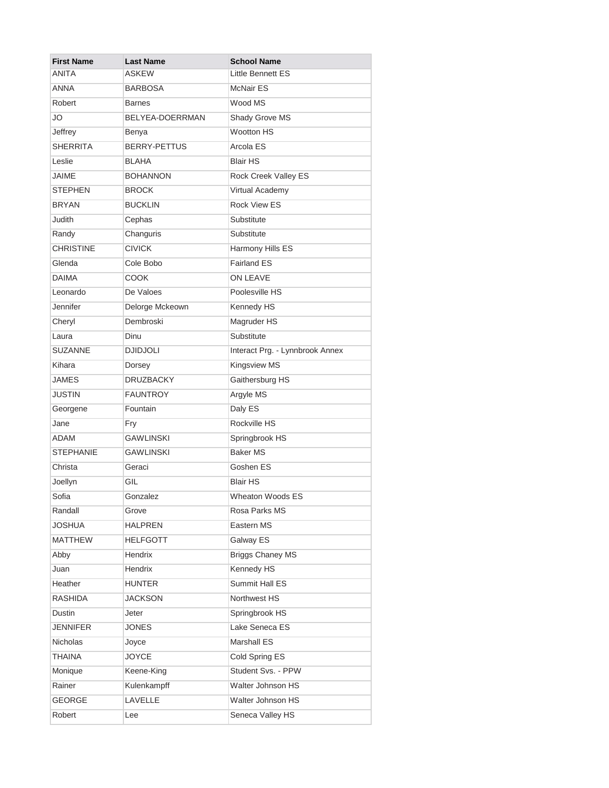| <b>First Name</b> | Last Name        | <b>School Name</b>              |
|-------------------|------------------|---------------------------------|
| <b>ANITA</b>      | ASKEW            | Little Bennett ES               |
| <b>ANNA</b>       | BARBOSA          | <b>McNair ES</b>                |
| Robert            | <b>Barnes</b>    | Wood MS                         |
| JO                | BELYEA-DOERRMAN  | Shady Grove MS                  |
| Jeffrey           | Benya            | <b>Wootton HS</b>               |
| <b>SHERRITA</b>   | BERRY-PETTUS     | Arcola ES                       |
| Leslie            | BLAHA            | <b>Blair HS</b>                 |
| <b>JAIME</b>      | <b>BOHANNON</b>  | Rock Creek Valley ES            |
| <b>STEPHEN</b>    | <b>BROCK</b>     | Virtual Academy                 |
| <b>BRYAN</b>      | <b>BUCKLIN</b>   | <b>Rock View ES</b>             |
| Judith            | Cephas           | Substitute                      |
| Randy             | Changuris        | Substitute                      |
| <b>CHRISTINE</b>  | <b>CIVICK</b>    | Harmony Hills ES                |
| Glenda            | Cole Bobo        | <b>Fairland ES</b>              |
| <b>DAIMA</b>      | COOK             | ON LEAVE                        |
| Leonardo          | De Valoes        | Poolesville HS                  |
| Jennifer          | Delorge Mckeown  | Kennedy HS                      |
| Cheryl            | Dembroski        | Magruder HS                     |
| Laura             | Dinu             | Substitute                      |
| <b>SUZANNE</b>    | <b>DJIDJOLI</b>  | Interact Prg. - Lynnbrook Annex |
| Kihara            | Dorsey           | Kingsview MS                    |
| <b>JAMES</b>      | <b>DRUZBACKY</b> | Gaithersburg HS                 |
| <b>JUSTIN</b>     | <b>FAUNTROY</b>  | Argyle MS                       |
| Georgene          | Fountain         | Daly ES                         |
| Jane              | Fry              | Rockville HS                    |
| <b>ADAM</b>       | <b>GAWLINSKI</b> | Springbrook HS                  |
| <b>STEPHANIE</b>  | <b>GAWLINSKI</b> | <b>Baker MS</b>                 |
| Christa           | Geraci           | Goshen ES                       |
| Joellyn           | GIL              | <b>Blair HS</b>                 |
| Sofia             | Gonzalez         | Wheaton Woods ES                |
| Randall           | Grove            | Rosa Parks MS                   |
| JOSHUA            | <b>HALPREN</b>   | Eastern MS                      |
| <b>MATTHEW</b>    | <b>HELFGOTT</b>  | Galway ES                       |
| Abby              | Hendrix          | <b>Briggs Chaney MS</b>         |
| Juan              | <b>Hendrix</b>   | Kennedy HS                      |
| Heather           | <b>HUNTER</b>    | Summit Hall ES                  |
| <b>RASHIDA</b>    | <b>JACKSON</b>   | Northwest HS                    |
| <b>Dustin</b>     | Jeter            | Springbrook HS                  |
| <b>JENNIFER</b>   | <b>JONES</b>     | Lake Seneca ES                  |
| <b>Nicholas</b>   | Joyce            | Marshall ES                     |
| <b>THAINA</b>     | <b>JOYCE</b>     | Cold Spring ES                  |
| Monique           | Keene-King       | Student Svs. - PPW              |
| Rainer            | Kulenkampff      | Walter Johnson HS               |
| GEORGE            | LAVELLE          | Walter Johnson HS               |
| Robert            | Lee              | Seneca Valley HS                |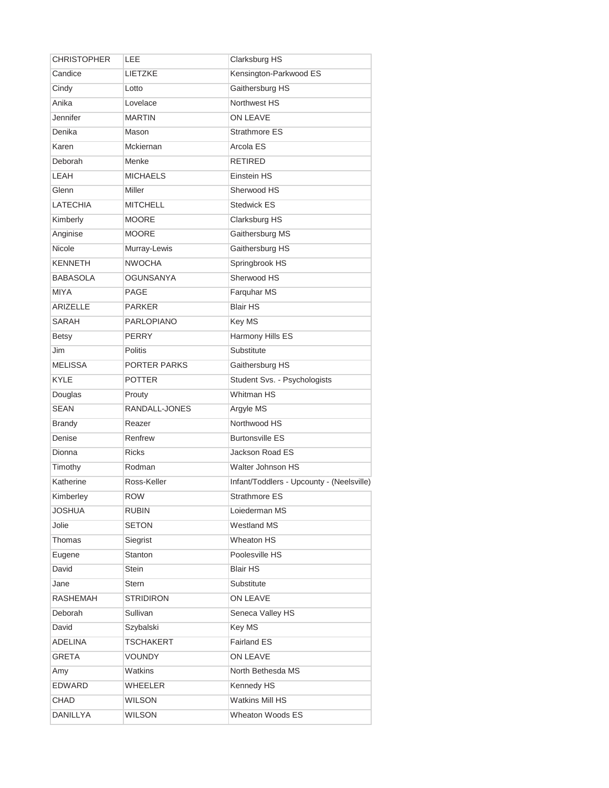| <b>CHRISTOPHER</b> | LEE               | Clarksburg HS                             |
|--------------------|-------------------|-------------------------------------------|
| Candice            | LIETZKE           | Kensington-Parkwood ES                    |
| Cindy              | Lotto             | Gaithersburg HS                           |
| Anika              | Lovelace          | Northwest HS                              |
| Jennifer           | <b>MARTIN</b>     | ON LEAVE                                  |
| Denika             | Mason             | Strathmore ES                             |
| Karen              | Mckiernan         | Arcola ES                                 |
| Deborah            | Menke             | <b>RETIRED</b>                            |
| LEAH               | <b>MICHAELS</b>   | Einstein HS                               |
| Glenn              | Miller            | Sherwood HS                               |
| <b>LATECHIA</b>    | <b>MITCHELL</b>   | <b>Stedwick ES</b>                        |
| Kimberly           | <b>MOORE</b>      | Clarksburg HS                             |
| Anginise           | <b>MOORE</b>      | Gaithersburg MS                           |
| Nicole             | Murray-Lewis      | Gaithersburg HS                           |
| <b>KENNETH</b>     | <b>NWOCHA</b>     | Springbrook HS                            |
| <b>BABASOLA</b>    | <b>OGUNSANYA</b>  | Sherwood HS                               |
| <b>MIYA</b>        | PAGE              | Farquhar MS                               |
| <b>ARIZELLE</b>    | <b>PARKER</b>     | <b>Blair HS</b>                           |
| <b>SARAH</b>       | <b>PARLOPIANO</b> | Key MS                                    |
| <b>Betsy</b>       | <b>PERRY</b>      | Harmony Hills ES                          |
| Jim                | <b>Politis</b>    | Substitute                                |
| <b>MELISSA</b>     | PORTER PARKS      | Gaithersburg HS                           |
| <b>KYLE</b>        | <b>POTTER</b>     | Student Svs. - Psychologists              |
| Douglas            | Prouty            | <b>Whitman HS</b>                         |
| <b>SEAN</b>        | RANDALL-JONES     | Argyle MS                                 |
| <b>Brandy</b>      | Reazer            | Northwood HS                              |
| Denise             | Renfrew           | <b>Burtonsville ES</b>                    |
| Dionna             | <b>Ricks</b>      | Jackson Road ES                           |
| Timothy            | Rodman            | Walter Johnson HS                         |
| Katherine          | Ross-Keller       | Infant/Toddlers - Upcounty - (Neelsville) |
| Kimberley          | <b>ROW</b>        | <b>Strathmore ES</b>                      |
| <b>JOSHUA</b>      | <b>RUBIN</b>      | Loiederman MS                             |
| Jolie              | <b>SETON</b>      | Westland MS                               |
| Thomas             | Siegrist          | Wheaton HS                                |
| Eugene             | Stanton           | Poolesville HS                            |
| David              | <b>Stein</b>      | <b>Blair HS</b>                           |
| Jane               | Stern             | Substitute                                |
| RASHEMAH           | <b>STRIDIRON</b>  | ON LEAVE                                  |
| Deborah            | Sullivan          | Seneca Valley HS                          |
| David              | Szybalski         | Key MS                                    |
| ADELINA            | TSCHAKERT         | <b>Fairland ES</b>                        |
| <b>GRETA</b>       | <b>VOUNDY</b>     | ON LEAVE                                  |
| Amy                | Watkins           | North Bethesda MS                         |
| <b>EDWARD</b>      | <b>WHEELER</b>    | Kennedy HS                                |
| CHAD               | <b>WILSON</b>     | <b>Watkins Mill HS</b>                    |
| <b>DANILLYA</b>    | WILSON            | Wheaton Woods ES                          |